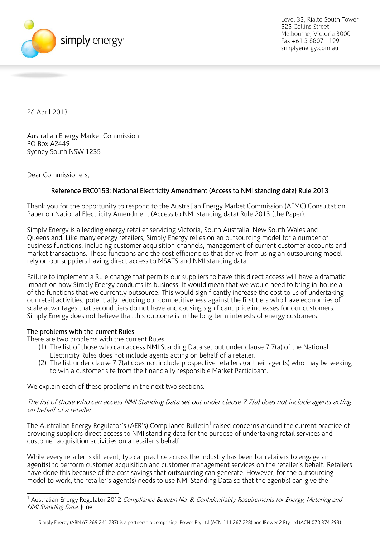

Level 33, Rialto South Tower 525 Collins Street Melbourne. Victoria 3000 Fax +61 3 8807 1199 simplyenergy.com.au

26 April 2013

Australian Energy Market Commission PO Box A2449 Sydney South NSW 1235

Dear Commissioners,

# Reference ERC0153: National Electricity Amendment (Access to NMI standing data) Rule 2013

Thank you for the opportunity to respond to the Australian Energy Market Commission (AEMC) Consultation Paper on National Electricity Amendment (Access to NMI standing data) Rule 2013 (the Paper).

Simply Energy is a leading energy retailer servicing Victoria, South Australia, New South Wales and Queensland. Like many energy retailers, Simply Energy relies on an outsourcing model for a number of business functions, including customer acquisition channels, management of current customer accounts and market transactions. These functions and the cost efficiencies that derive from using an outsourcing model rely on our suppliers having direct access to MSATS and NMI standing data.

Failure to implement a Rule change that permits our suppliers to have this direct access will have a dramatic impact on how Simply Energy conducts its business. It would mean that we would need to bring in-house all of the functions that we currently outsource. This would significantly increase the cost to us of undertaking our retail activities, potentially reducing our competitiveness against the first tiers who have economies of scale advantages that second tiers do not have and causing significant price increases for our customers. Simply Energy does not believe that this outcome is in the long term interests of energy customers.

## The problems with the current Rules

 $\overline{a}$ 

There are two problems with the current Rules:

- (1) The list of those who can access NMI Standing Data set out under clause 7.7(a) of the National Electricity Rules does not include agents acting on behalf of a retailer.
- (2) The list under clause 7.7(a) does not include prospective retailers (or their agents) who may be seeking to win a customer site from the financially responsible Market Participant.

We explain each of these problems in the next two sections.

The list of those who can access NMI Standing Data set out under clause 7.7(a) does not include agents acting on behalf of a retailer.

The Australian Energy Regulator's (AER's) Compliance Bulletin<sup>1</sup> raised concerns around the current practice of providing suppliers direct access to NMI standing data for the purpose of undertaking retail services and customer acquisition activities on a retailer's behalf.

While every retailer is different, typical practice across the industry has been for retailers to engage an agent(s) to perform customer acquisition and customer management services on the retailer's behalf. Retailers have done this because of the cost savings that outsourcing can generate. However, for the outsourcing model to work, the retailer's agent(s) needs to use NMI Standing Data so that the agent(s) can give the

<sup>&</sup>lt;sup>1</sup> Australian Energy Regulator 2012 *Compliance Bulletin No. 8: Confidentiality Requirements for Energy, Metering and* NMI Standing Data, June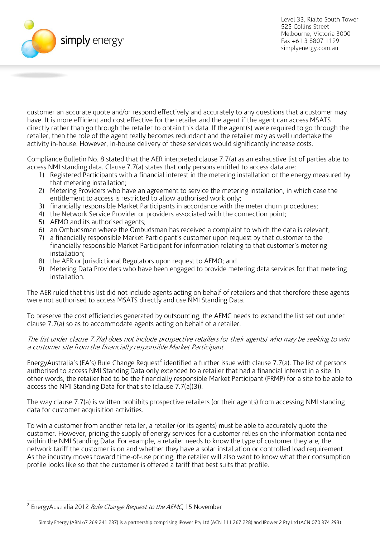

Level 33, Rialto South Tower 525 Collins Street Melbourne. Victoria 3000 Fax +61 3 8807 1199 simplyenergy.com.au

customer an accurate quote and/or respond effectively and accurately to any questions that a customer may have. It is more efficient and cost effective for the retailer and the agent if the agent can access MSATS directly rather than go through the retailer to obtain this data. If the agent(s) were required to go through the retailer, then the role of the agent really becomes redundant and the retailer may as well undertake the activity in-house. However, in-house delivery of these services would significantly increase costs.

Compliance Bulletin No. 8 stated that the AER interpreted clause 7.7(a) as an exhaustive list of parties able to access NMI standing data. Clause 7.7(a) states that only persons entitled to access data are:

- 1) Registered Participants with a financial interest in the metering installation or the energy measured by that metering installation;
- 2) Metering Providers who have an agreement to service the metering installation, in which case the entitlement to access is restricted to allow authorised work only;
- 3) financially responsible Market Participants in accordance with the meter churn procedures;
- 4) the Network Service Provider or providers associated with the connection point;
- 5) AEMO and its authorised agents;
- 6) an Ombudsman where the Ombudsman has received a complaint to which the data is relevant;
- 7) a financially responsible Market Participant's customer upon request by that customer to the financially responsible Market Participant for information relating to that customer's metering installation;
- 8) the AER or Jurisdictional Regulators upon request to AEMO; and
- 9) Metering Data Providers who have been engaged to provide metering data services for that metering installation.

The AER ruled that this list did not include agents acting on behalf of retailers and that therefore these agents were not authorised to access MSATS directly and use NMI Standing Data.

To preserve the cost efficiencies generated by outsourcing, the AEMC needs to expand the list set out under clause 7.7(a) so as to accommodate agents acting on behalf of a retailer.

The list under clause 7.7(a) does not include prospective retailers (or their agents) who may be seeking to win a customer site from the financially responsible Market Participant.

EnergyAustralia's (EA's) Rule Change Request<sup>2</sup> identified a further issue with clause 7.7(a). The list of persons authorised to access NMI Standing Data only extended to a retailer that had a financial interest in a site. In other words, the retailer had to be the financially responsible Market Participant (FRMP) for a site to be able to access the NMI Standing Data for that site (clause 7.7(a)(3)).

The way clause 7.7(a) is written prohibits prospective retailers (or their agents) from accessing NMI standing data for customer acquisition activities.

To win a customer from another retailer, a retailer (or its agents) must be able to accurately quote the customer. However, pricing the supply of energy services for a customer relies on the information contained within the NMI Standing Data. For example, a retailer needs to know the type of customer they are, the network tariff the customer is on and whether they have a solar installation or controlled load requirement. As the industry moves toward time-of-use pricing, the retailer will also want to know what their consumption profile looks like so that the customer is offered a tariff that best suits that profile.

 $\overline{a}$ <sup>2</sup> EnergyAustralia 2012 *Rule Change Request to the AEMC*, 15 November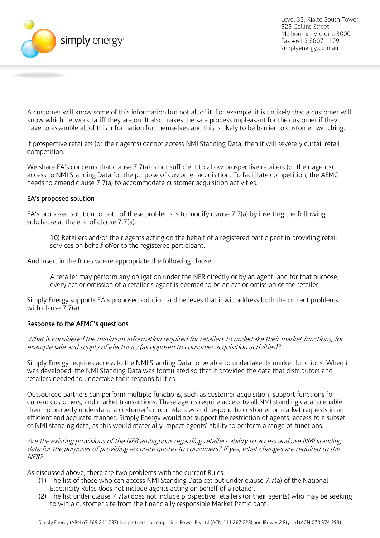

A customer will know some of this information but not all of it. For example, it is unlikely that a customer will know which network tariff they are on. It also makes the sale process unpleasant for the customer if they have to assemble all of this information for themselves and this is likely to be barrier to customer switching.

If prospective retailers (or their agents) cannot access NMI Standing Data, then it will severely curtail retail competition.

We share EA's concerns that clause 7.7(a) is not sufficient to allow prospective retailers (or their agents) access to NMI Standing Data for the purpose of customer acquisition. To facilitate competition, the AEMC needs to amend clause 7.7(a) to accommodate customer acquisition activities.

## EA's proposed solution

EA's proposed solution to both of these problems is to modify clause 7.7(a) by inserting the following subclause at the end of clause 7.7(a):

10) Retailers and/or their agents acting on the behalf of a registered participant in providing retail services on behalf of/or to the registered participant.

And insert in the Rules where appropriate the following clause:

A retailer may perform any obligation under the NER directly or by an agent, and for that purpose, every act or omission of a retailer's agent is deemed to be an act or omission of the retailer.

Simply Energy supports EA's proposed solution and believes that it will address both the current problems with clause 7.7(a).

#### Response to the AEMC's questions

What is considered the minimum information required for retailers to undertake their market functions, for example sale and supply of electricity (as opposed to consumer acquisition activities)?

Simply Energy requires access to the NMI Standing Data to be able to undertake its market functions. When it was developed, the NMI Standing Data was formulated so that it provided the data that distributors and retailers needed to undertake their responsibilities.

Outsourced partners can perform multiple functions, such as customer acquisition, support functions for current customers, and market transactions. These agents require access to all NMI standing data to enable them to properly understand a customer's circumstances and respond to customer or market requests in an efficient and accurate manner. Simply Energy would not support the restriction of agents' access to a subset of NMI standing data, as this would materially impact agents' ability to perform a range of functions.

Are the existing provisions of the NER ambiguous regarding retailers ability to access and use NMI standing data for the purposes of providing accurate quotes to consumers? If yes, what changes are required to the NER?

As discussed above, there are two problems with the current Rules:

- (1) The list of those who can access NMI Standing Data set out under clause 7.7(a) of the National Electricity Rules does not include agents acting on behalf of a retailer.
- (2) The list under clause 7.7(a) does not include prospective retailers (or their agents) who may be seeking to win a customer site from the financially responsible Market Participant.